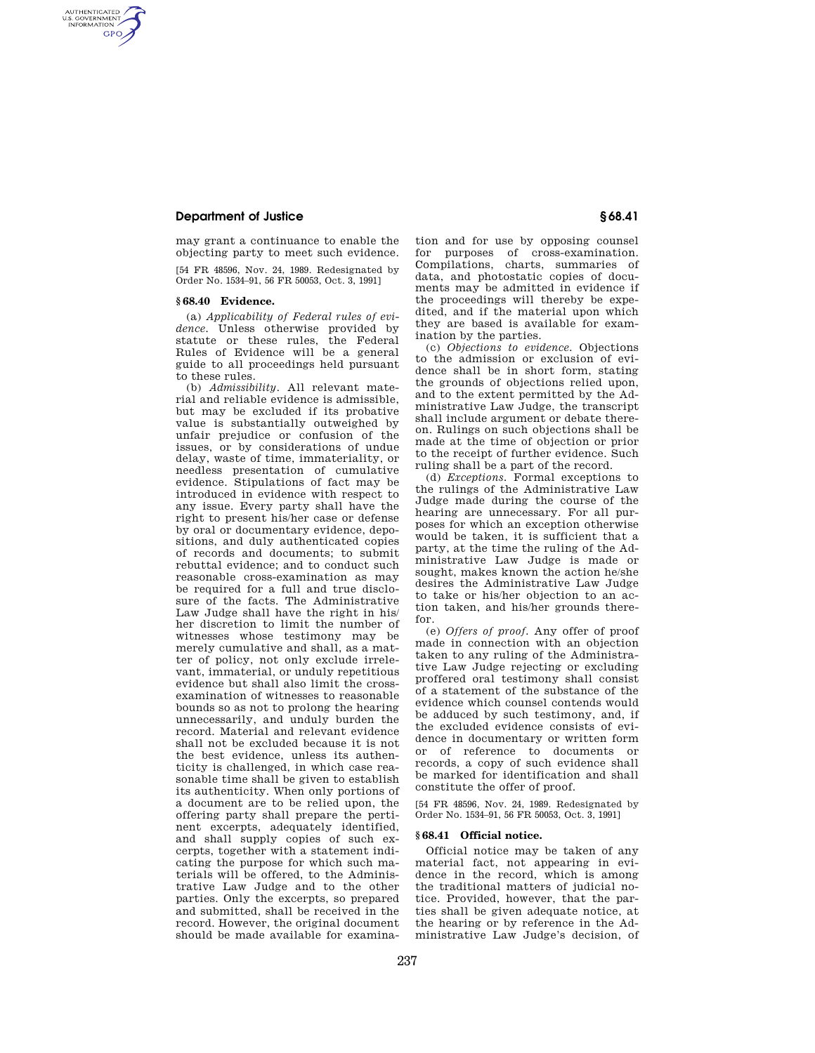## **Department of Justice § 68.41**

AUTHENTICATED<br>U.S. GOVERNMENT<br>INFORMATION **GPO** 

> may grant a continuance to enable the objecting party to meet such evidence. [54 FR 48596, Nov. 24, 1989. Redesignated by Order No. 1534–91, 56 FR 50053, Oct. 3, 1991]

#### **§ 68.40 Evidence.**

(a) *Applicability of Federal rules of evidence.* Unless otherwise provided by statute or these rules, the Federal Rules of Evidence will be a general guide to all proceedings held pursuant to these rules.

(b) *Admissibility.* All relevant material and reliable evidence is admissible, but may be excluded if its probative value is substantially outweighed by unfair prejudice or confusion of the issues, or by considerations of undue delay, waste of time, immateriality, or needless presentation of cumulative evidence. Stipulations of fact may be introduced in evidence with respect to any issue. Every party shall have the right to present his/her case or defense by oral or documentary evidence, depositions, and duly authenticated copies of records and documents; to submit rebuttal evidence; and to conduct such reasonable cross-examination as may be required for a full and true disclosure of the facts. The Administrative Law Judge shall have the right in his/ her discretion to limit the number of witnesses whose testimony may be merely cumulative and shall, as a matter of policy, not only exclude irrelevant, immaterial, or unduly repetitious evidence but shall also limit the crossexamination of witnesses to reasonable bounds so as not to prolong the hearing unnecessarily, and unduly burden the record. Material and relevant evidence shall not be excluded because it is not the best evidence, unless its authenticity is challenged, in which case reasonable time shall be given to establish its authenticity. When only portions of a document are to be relied upon, the offering party shall prepare the pertinent excerpts, adequately identified, and shall supply copies of such excerpts, together with a statement indicating the purpose for which such materials will be offered, to the Administrative Law Judge and to the other parties. Only the excerpts, so prepared and submitted, shall be received in the record. However, the original document should be made available for examination and for use by opposing counsel for purposes of cross-examination. Compilations, charts, summaries of data, and photostatic copies of documents may be admitted in evidence if the proceedings will thereby be expedited, and if the material upon which they are based is available for examination by the parties.

(c) *Objections to evidence.* Objections to the admission or exclusion of evidence shall be in short form, stating the grounds of objections relied upon, and to the extent permitted by the Administrative Law Judge, the transcript shall include argument or debate thereon. Rulings on such objections shall be made at the time of objection or prior to the receipt of further evidence. Such ruling shall be a part of the record.

(d) *Exceptions.* Formal exceptions to the rulings of the Administrative Law Judge made during the course of the hearing are unnecessary. For all purposes for which an exception otherwise would be taken, it is sufficient that a party, at the time the ruling of the Administrative Law Judge is made or sought, makes known the action he/she desires the Administrative Law Judge to take or his/her objection to an action taken, and his/her grounds therefor.

(e) *Offers of proof.* Any offer of proof made in connection with an objection taken to any ruling of the Administrative Law Judge rejecting or excluding proffered oral testimony shall consist of a statement of the substance of the evidence which counsel contends would be adduced by such testimony, and, if the excluded evidence consists of evidence in documentary or written form or of reference to documents or records, a copy of such evidence shall be marked for identification and shall constitute the offer of proof.

[54 FR 48596, Nov. 24, 1989. Redesignated by Order No. 1534–91, 56 FR 50053, Oct. 3, 1991]

### **§ 68.41 Official notice.**

Official notice may be taken of any material fact, not appearing in evidence in the record, which is among the traditional matters of judicial notice. Provided, however, that the parties shall be given adequate notice, at the hearing or by reference in the Administrative Law Judge's decision, of